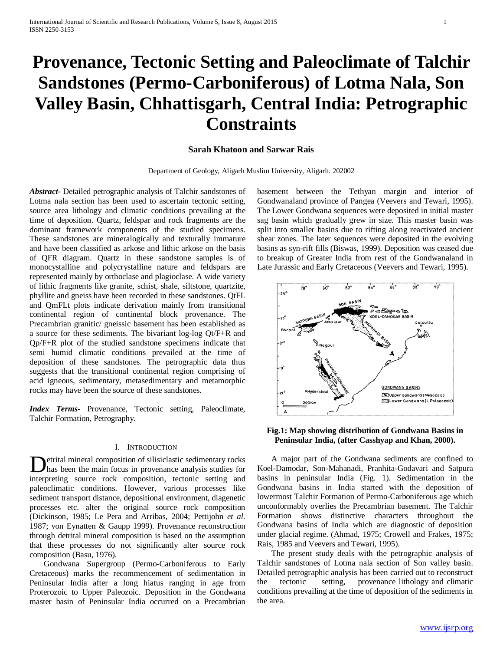# **Provenance, Tectonic Setting and Paleoclimate of Talchir Sandstones (Permo-Carboniferous) of Lotma Nala, Son Valley Basin, Chhattisgarh, Central India: Petrographic Constraints**

#### **Sarah Khatoon and Sarwar Rais**

Department of Geology, Aligarh Muslim University, Aligarh. 202002

*Abstract***-** Detailed petrographic analysis of Talchir sandstones of Lotma nala section has been used to ascertain tectonic setting, source area lithology and climatic conditions prevailing at the time of deposition. Quartz, feldspar and rock fragments are the dominant framework components of the studied specimens. These sandstones are mineralogically and texturally immature and have been classified as arkose and lithic arkose on the basis of QFR diagram. Quartz in these sandstone samples is of monocystalline and polycrystalline nature and feldspars are represented mainly by orthoclase and plagioclase. A wide variety of lithic fragments like granite, schist, shale, siltstone, quartzite, phyllite and gneiss have been recorded in these sandstones. QtFL and QmFLt plots indicate derivation mainly from transitional continental region of continental block provenance. The Precambrian granitic/ gneissic basement has been established as a source for these sediments. The bivariant log-log Qt/F+R and Qp/F+R plot of the studied sandstone specimens indicate that semi humid climatic conditions prevailed at the time of deposition of these sandstones. The petrographic data thus suggests that the transitional continental region comprising of acid igneous, sedimentary, metasedimentary and metamorphic rocks may have been the source of these sandstones.

*Index Terms*- Provenance, Tectonic setting, Paleoclimate, Talchir Formation, Petrography.

#### I. INTRODUCTION

etrital mineral composition of silisiclastic sedimentary rocks has been the main focus in provenance analysis studies for **D**etrital mineral composition of silisiclastic sedimentary rocks<br>has been the main focus in provenance analysis studies for<br>interpreting source rock composition, tectonic setting and paleoclimatic conditions. However, various processes like sediment transport distance, depositional environment, diagenetic processes etc. alter the original source rock composition (Dickinson, 1985; Le Pera and Arribas, 2004; Pettijohn *et al.*  1987; von Eynatten & Gaupp 1999). Provenance reconstruction through detrital mineral composition is based on the assumption that these processes do not significantly alter source rock composition (Basu, 1976).

 Gondwana Supergroup (Permo-Carboniferous to Early Cretaceous) marks the recommencement of sedimentation in Peninsular India after a long hiatus ranging in age from Proterozoic to Upper Paleozoic. Deposition in the Gondwana master basin of Peninsular India occurred on a Precambrian basement between the Tethyan margin and interior of Gondwanaland province of Pangea (Veevers and Tewari, 1995). The Lower Gondwana sequences were deposited in initial master sag basin which gradually grew in size. This master basin was split into smaller basins due to rifting along reactivated ancient shear zones. The later sequences were deposited in the evolving basins as syn-rift fills (Biswas, 1999). Deposition was ceased due to breakup of Greater India from rest of the Gondwanaland in Late Jurassic and Early Cretaceous (Veevers and Tewari, 1995).



**Fig.1: Map showing distribution of Gondwana Basins in Peninsular India, (after Casshyap and Khan, 2000).**

 A major part of the Gondwana sediments are confined to Koel-Damodar, Son-Mahanadi, Pranhita-Godavari and Satpura basins in peninsular India (Fig. 1). Sedimentation in the Gondwana basins in India started with the deposition of lowermost Talchir Formation of Permo-Carboniferous age which unconformably overlies the Precambrian basement. The Talchir Formation shows distinctive characters throughout the Gondwana basins of India which are diagnostic of deposition under glacial regime. (Ahmad, 1975; Crowell and Frakes, 1975; Rais, 1985 and Veevers and Tewari, 1995).

 The present study deals with the petrographic analysis of Talchir sandstones of Lotma nala section of Son valley basin. Detailed petrographic analysis has been carried out to reconstruct the tectonic setting, provenance lithology and climatic conditions prevailing at the time of deposition of the sediments in the area.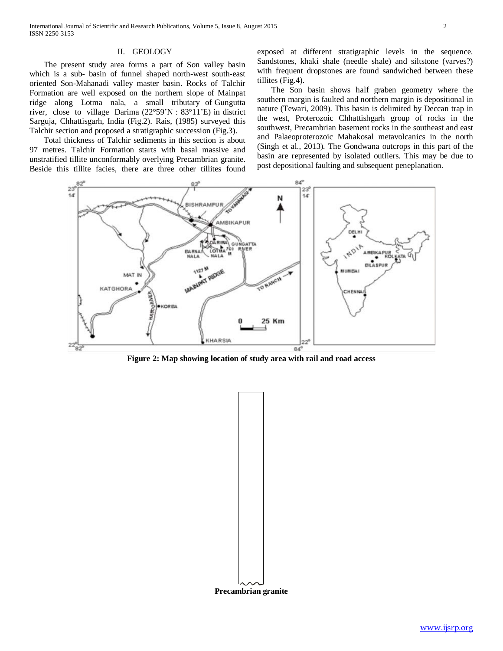## II. GEOLOGY

 The present study area forms a part of Son valley basin which is a sub- basin of funnel shaped north-west south-east oriented Son-Mahanadi valley master basin. Rocks of Talchir Formation are well exposed on the northern slope of Mainpat ridge along Lotma nala, a small tributary of Gungutta river, close to village Darima (22°59'N : 83°11'E) in district Sarguja, Chhattisgarh, India (Fig.2). Rais, (1985) surveyed this Talchir section and proposed a stratigraphic succession (Fig.3).

 Total thickness of Talchir sediments in this section is about 97 metres. Talchir Formation starts with basal massive and unstratified tillite unconformably overlying Precambrian granite. Beside this tillite facies, there are three other tillites found exposed at different stratigraphic levels in the sequence. Sandstones, khaki shale (needle shale) and siltstone (varves?) with frequent dropstones are found sandwiched between these tillites (Fig.4).

 The Son basin shows half graben geometry where the southern margin is faulted and northern margin is depositional in nature (Tewari, 2009). This basin is delimited by Deccan trap in the west, Proterozoic Chhattishgarh group of rocks in the southwest, Precambrian basement rocks in the southeast and east and Palaeoproterozoic Mahakosal metavolcanics in the north (Singh et al., 2013). The Gondwana outcrops in this part of the basin are represented by isolated outliers. This may be due to post depositional faulting and subsequent peneplanation.



**Figure 2: Map showing location of study area with rail and road access**

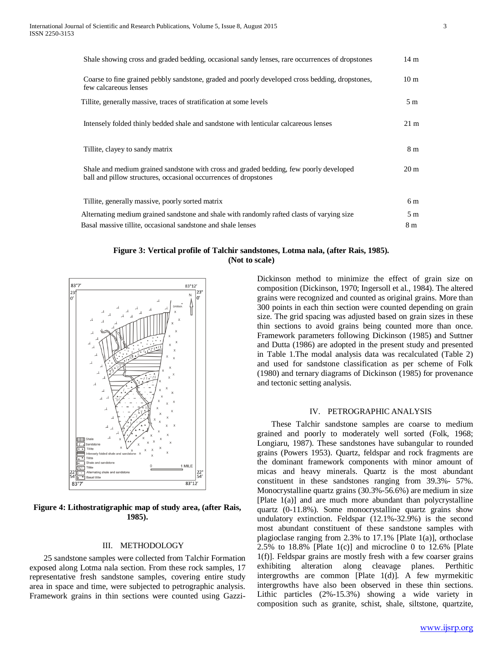| Shale showing cross and graded bedding, occasional sandy lenses, rare occurrences of dropstones                                                            | $14 \text{ m}$  |
|------------------------------------------------------------------------------------------------------------------------------------------------------------|-----------------|
| Coarse to fine grained pebbly sandstone, graded and poorly developed cross bedding, dropstones,<br>few calcareous lenses                                   | 10 <sub>m</sub> |
| Tillite, generally massive, traces of stratification at some levels                                                                                        | 5 m             |
| Intensely folded thinly bedded shale and sandstone with lenticular calcareous lenses                                                                       | $21 \text{ m}$  |
| Tillite, clayey to sandy matrix                                                                                                                            | 8 m             |
| Shale and medium grained sandstone with cross and graded bedding, few poorly developed<br>ball and pillow structures, occasional occurrences of dropstones | 20 <sub>m</sub> |
| Tillite, generally massive, poorly sorted matrix                                                                                                           | 6 m             |
| Alternating medium grained sandstone and shale with randomly rafted clasts of varying size                                                                 | 5 <sub>m</sub>  |
| Basal massive tillite, occasional sandstone and shale lenses                                                                                               | 8 m             |

## **Figure 3: Vertical profile of Talchir sandstones, Lotma nala, (after Rais, 1985). (Not to scale)**



**Figure 4: Lithostratigraphic map of study area, (after Rais, 1985).**

### III. METHODOLOGY

 25 sandstone samples were collected from Talchir Formation exposed along Lotma nala section. From these rock samples, 17 representative fresh sandstone samples, covering entire study area in space and time, were subjected to petrographic analysis. Framework grains in thin sections were counted using GazziDickinson method to minimize the effect of grain size on composition (Dickinson, 1970; Ingersoll et al., 1984). The altered grains were recognized and counted as original grains. More than 300 points in each thin section were counted depending on grain size. The grid spacing was adjusted based on grain sizes in these thin sections to avoid grains being counted more than once. Framework parameters following Dickinson (1985) and Suttner and Dutta (1986) are adopted in the present study and presented in Table 1.The modal analysis data was recalculated (Table 2) and used for sandstone classification as per scheme of Folk (1980) and ternary diagrams of Dickinson (1985) for provenance and tectonic setting analysis.

#### IV. PETROGRAPHIC ANALYSIS

 These Talchir sandstone samples are coarse to medium grained and poorly to moderately well sorted (Folk, 1968; Longiaru, 1987). These sandstones have subangular to rounded grains (Powers 1953). Quartz, feldspar and rock fragments are the dominant framework components with minor amount of micas and heavy minerals. Quartz is the most abundant constituent in these sandstones ranging from 39.3%- 57%. Monocrystalline quartz grains (30.3%-56.6%) are medium in size [Plate 1(a)] and are much more abundant than polycrystalline quartz (0-11.8%). Some monocrystalline quartz grains show undulatory extinction. Feldspar (12.1%-32.9%) is the second most abundant constituent of these sandstone samples with plagioclase ranging from 2.3% to 17.1% [Plate 1(a)], orthoclase 2.5% to  $18.8\%$  [Plate 1(c)] and microcline 0 to  $12.6\%$  [Plate 1(f)]. Feldspar grains are mostly fresh with a few coarser grains exhibiting alteration along cleavage planes. Perthitic intergrowths are common [Plate 1(d)]. A few myrmekitic intergrowths have also been observed in these thin sections. Lithic particles (2%-15.3%) showing a wide variety in composition such as granite, schist, shale, siltstone, quartzite,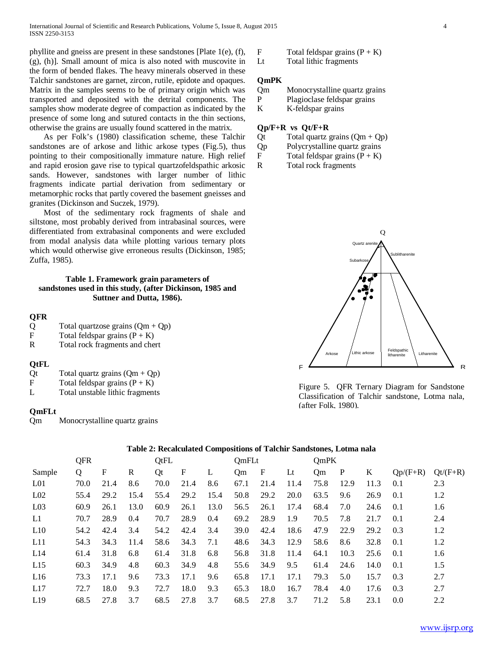phyllite and gneiss are present in these sandstones [Plate 1(e), (f), (g), (h)]. Small amount of mica is also noted with muscovite in the form of bended flakes. The heavy minerals observed in these Talchir sandstones are garnet, zircon, rutile, epidote and opaques. Matrix in the samples seems to be of primary origin which was transported and deposited with the detrital components. The samples show moderate degree of compaction as indicated by the presence of some long and sutured contacts in the thin sections, otherwise the grains are usually found scattered in the matrix.

 As per Folk's (1980) classification scheme, these Talchir sandstones are of arkose and lithic arkose types (Fig.5), thus pointing to their compositionally immature nature. High relief and rapid erosion gave rise to typical quartzofeldspathic arkosic sands. However, sandstones with larger number of lithic fragments indicate partial derivation from sedimentary or metamorphic rocks that partly covered the basement gneisses and granites (Dickinson and Suczek, 1979).

 Most of the sedimentary rock fragments of shale and siltstone, most probably derived from intrabasinal sources, were differentiated from extrabasinal components and were excluded from modal analysis data while plotting various ternary plots which would otherwise give erroneous results (Dickinson, 1985; Zuffa, 1985).

## **Table 1. Framework grain parameters of sandstones used in this study, (after Dickinson, 1985 and Suttner and Dutta, 1986).**

## **QFR**

| Q<br>Total quartzose grains $(Qm + Qp)$ |  |  |  |
|-----------------------------------------|--|--|--|
|-----------------------------------------|--|--|--|

- F Total feldspar grains  $(P + K)$
- R Total rock fragments and chert

## **QtFL**

| Qt |  | Total quartz grains $(Qm + Qp)$ |  |
|----|--|---------------------------------|--|
|    |  |                                 |  |

- F Total feldspar grains  $(P + K)$
- L Total unstable lithic fragments

## **QmFLt**

Qm Monocrystalline quartz grains



Lt Total lithic fragments

# **QmPK**

Qm Monocrystalline quartz grains

- P Plagioclase feldspar grains
- K K-feldspar grains

## **Qp/F+R vs Qt/F+R**

- Qt Total quartz grains  $(Qm + Qp)$
- Qp Polycrystalline quartz grains
- F Total feldspar grains  $(P + K)$
- R Total rock fragments



Figure 5. QFR Ternary Diagram for Sandstone Classification of Talchir sandstone, Lotma nala, (after Folk, 1980).

## **Table 2: Recalculated Compositions of Talchir Sandstones, Lotma nala**

|                 | <b>QFR</b> |      |      | <b>QtFL</b> |      |               | OmFLt |              |             | OmPK |              |      |            |           |
|-----------------|------------|------|------|-------------|------|---------------|-------|--------------|-------------|------|--------------|------|------------|-----------|
| Sample          | Q          | F    | R    | Qt          | F    | L             | Qm    | $\mathbf{F}$ | $_{\rm Lt}$ | Qm   | $\mathbf{P}$ | K    | $Qp/(F+R)$ | $Qt(F+R)$ |
| L <sub>01</sub> | 70.0       | 21.4 | 8.6  | 70.0        | 21.4 | 8.6           | 67.1  | 21.4         | 11.4        | 75.8 | 12.9         | 11.3 | 0.1        | 2.3       |
| L <sub>02</sub> | 55.4       | 29.2 | 15.4 | 55.4        | 29.2 | 15.4          | 50.8  | 29.2         | 20.0        | 63.5 | 9.6          | 26.9 | 0.1        | 1.2       |
| L <sub>03</sub> | 60.9       | 26.1 | 13.0 | 60.9        | 26.1 | 13.0          | 56.5  | 26.1         | 17.4        | 68.4 | 7.0          | 24.6 | 0.1        | 1.6       |
| L1              | 70.7       | 28.9 | 0.4  | 70.7        | 28.9 | $0.4^{\circ}$ | 69.2  | 28.9         | 1.9         | 70.5 | 7.8          | 21.7 | 0.1        | 2.4       |
| L10             | 54.2       | 42.4 | 3.4  | 54.2        | 42.4 | 3.4           | 39.0  | 42.4         | 18.6        | 47.9 | 22.9         | 29.2 | 0.3        | 1.2       |
| L11             | 54.3       | 34.3 | 11.4 | 58.6        | 34.3 | 7.1           | 48.6  | 34.3         | 12.9        | 58.6 | 8.6          | 32.8 | 0.1        | 1.2       |
| L14             | 61.4       | 31.8 | 6.8  | 61.4        | 31.8 | 6.8           | 56.8  | 31.8         | 11.4        | 64.1 | 10.3         | 25.6 | 0.1        | 1.6       |
| L15             | 60.3       | 34.9 | 4.8  | 60.3        | 34.9 | 4.8           | 55.6  | 34.9         | 9.5         | 61.4 | 24.6         | 14.0 | 0.1        | 1.5       |
| L16             | 73.3       | 17.1 | 9.6  | 73.3        | 17.1 | 9.6           | 65.8  | 17.1         | 17.1        | 79.3 | 5.0          | 15.7 | 0.3        | 2.7       |
| L17             | 72.7       | 18.0 | 9.3  | 72.7        | 18.0 | 9.3           | 65.3  | 18.0         | 16.7        | 78.4 | 4.0          | 17.6 | 0.3        | 2.7       |
| L19             | 68.5       | 27.8 | 3.7  | 68.5        | 27.8 | 3.7           | 68.5  | 27.8         | 3.7         | 71.2 | 5.8          | 23.1 | 0.0        | 2.2       |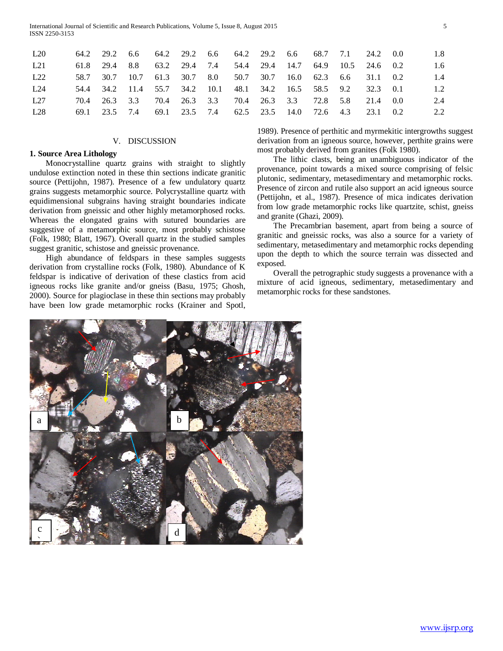| 1.8<br>24.2 0.0           |
|---------------------------|
| $1.6^{\circ}$<br>24.6 0.2 |
| 1.4<br>0.2                |
| 1.2<br>0.1                |
| 2.4<br>(0.0)              |
| 2.2<br>0.2                |
|                           |

## V. DISCUSSION

## **1. Source Area Lithology**

 Monocrystalline quartz grains with straight to slightly undulose extinction noted in these thin sections indicate granitic source (Pettijohn, 1987). Presence of a few undulatory quartz grains suggests metamorphic source. Polycrystalline quartz with equidimensional subgrains having straight boundaries indicate derivation from gneissic and other highly metamorphosed rocks. Whereas the elongated grains with sutured boundaries are suggestive of a metamorphic source, most probably schistose (Folk, 1980; Blatt, 1967). Overall quartz in the studied samples suggest granitic, schistose and gneissic provenance.

 High abundance of feldspars in these samples suggests derivation from crystalline rocks (Folk, 1980). Abundance of K feldspar is indicative of derivation of these clastics from acid igneous rocks like granite and/or gneiss (Basu, 1975; Ghosh, 2000). Source for plagioclase in these thin sections may probably have been low grade metamorphic rocks (Krainer and Spotl, 1989). Presence of perthitic and myrmekitic intergrowths suggest derivation from an igneous source, however, perthite grains were most probably derived from granites (Folk 1980).

 The lithic clasts, being an unambiguous indicator of the provenance, point towards a mixed source comprising of felsic plutonic, sedimentary, metasedimentary and metamorphic rocks. Presence of zircon and rutile also support an acid igneous source (Pettijohn, et al., 1987). Presence of mica indicates derivation from low grade metamorphic rocks like quartzite, schist, gneiss and granite (Ghazi, 2009).

 The Precambrian basement, apart from being a source of granitic and gneissic rocks, was also a source for a variety of sedimentary, metasedimentary and metamorphic rocks depending upon the depth to which the source terrain was dissected and exposed.

 Overall the petrographic study suggests a provenance with a mixture of acid igneous, sedimentary, metasedimentary and metamorphic rocks for these sandstones.

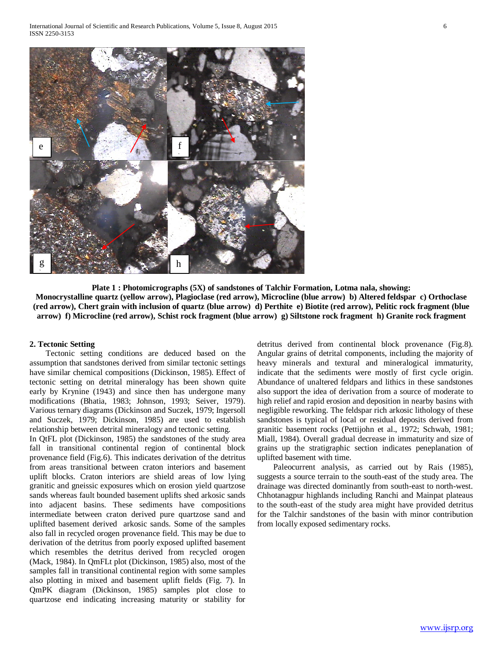

**Plate 1 : Photomicrographs (5X) of sandstones of Talchir Formation, Lotma nala, showing: Monocrystalline quartz (yellow arrow), Plagioclase (red arrow), Microcline (blue arrow) b) Altered feldspar c) Orthoclase (red arrow), Chert grain with inclusion of quartz (blue arrow) d) Perthite e) Biotite (red arrow), Pelitic rock fragment (blue arrow) f) Microcline (red arrow), Schist rock fragment (blue arrow) g) Siltstone rock fragment h) Granite rock fragment**

### **2. Tectonic Setting**

 Tectonic setting conditions are deduced based on the assumption that sandstones derived from similar tectonic settings have similar chemical compositions (Dickinson, 1985). Effect of tectonic setting on detrital mineralogy has been shown quite early by Krynine (1943) and since then has undergone many modifications (Bhatia, 1983; Johnson, 1993; Seiver, 1979). Various ternary diagrams (Dickinson and Suczek, 1979; Ingersoll and Suczek, 1979; Dickinson, 1985) are used to establish relationship between detrital mineralogy and tectonic setting.

In QtFL plot (Dickinson, 1985) the sandstones of the study area fall in transitional continental region of continental block provenance field (Fig.6). This indicates derivation of the detritus from areas transitional between craton interiors and basement uplift blocks. Craton interiors are shield areas of low lying granitic and gneissic exposures which on erosion yield quartzose sands whereas fault bounded basement uplifts shed arkosic sands into adjacent basins. These sediments have compositions intermediate between craton derived pure quartzose sand and uplifted basement derived arkosic sands. Some of the samples also fall in recycled orogen provenance field. This may be due to derivation of the detritus from poorly exposed uplifted basement which resembles the detritus derived from recycled orogen (Mack, 1984). In QmFLt plot (Dickinson, 1985) also, most of the samples fall in transitional continental region with some samples also plotting in mixed and basement uplift fields (Fig. 7). In QmPK diagram (Dickinson, 1985) samples plot close to quartzose end indicating increasing maturity or stability for

detritus derived from continental block provenance (Fig.8). Angular grains of detrital components, including the majority of heavy minerals and textural and mineralogical immaturity, indicate that the sediments were mostly of first cycle origin. Abundance of unaltered feldpars and lithics in these sandstones also support the idea of derivation from a source of moderate to high relief and rapid erosion and deposition in nearby basins with negligible reworking. The feldspar rich arkosic lithology of these sandstones is typical of local or residual deposits derived from granitic basement rocks (Pettijohn et al., 1972; Schwab, 1981; Miall, 1984). Overall gradual decrease in immaturity and size of grains up the stratigraphic section indicates peneplanation of uplifted basement with time.

 Paleocurrent analysis, as carried out by Rais (1985), suggests a source terrain to the south-east of the study area. The drainage was directed dominantly from south-east to north-west. Chhotanagpur highlands including Ranchi and Mainpat plateaus to the south-east of the study area might have provided detritus for the Talchir sandstones of the basin with minor contribution from locally exposed sedimentary rocks.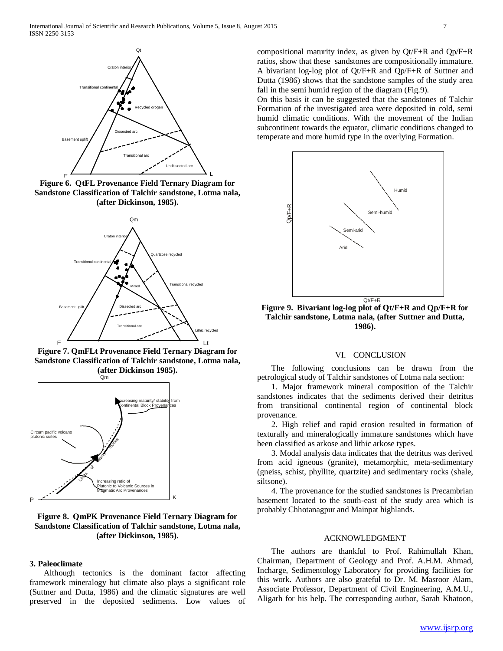

**Figure 6. QtFL Provenance Field Ternary Diagram for Sandstone Classification of Talchir sandstone, Lotma nala, (after Dickinson, 1985).**



**Figure 7. QmFLt Provenance Field Ternary Diagram for Sandstone Classification of Talchir sandstone, Lotma nala, (after Dickinson 1985).**



**Figure 8. QmPK Provenance Field Ternary Diagram for Sandstone Classification of Talchir sandstone, Lotma nala, (after Dickinson, 1985).**

#### **3. Paleoclimate**

 Although tectonics is the dominant factor affecting framework mineralogy but climate also plays a significant role (Suttner and Dutta, 1986) and the climatic signatures are well preserved in the deposited sediments. Low values of

compositional maturity index, as given by Qt/F+R and Qp/F+R ratios, show that these sandstones are compositionally immature. A bivariant log-log plot of Qt/F+R and Qp/F+R of Suttner and Dutta (1986) shows that the sandstone samples of the study area fall in the semi humid region of the diagram (Fig.9).

On this basis it can be suggested that the sandstones of Talchir Formation of the investigated area were deposited in cold, semi humid climatic conditions. With the movement of the Indian subcontinent towards the equator, climatic conditions changed to temperate and more humid type in the overlying Formation.



**Figure 9. Bivariant log-log plot of Qt/F+R and Qp/F+R for Talchir sandstone, Lotma nala, (after Suttner and Dutta, 1986).**

#### VI. CONCLUSION

 The following conclusions can be drawn from the petrological study of Talchir sandstones of Lotma nala section:

 1. Major framework mineral composition of the Talchir sandstones indicates that the sediments derived their detritus from transitional continental region of continental block provenance.

 2. High relief and rapid erosion resulted in formation of texturally and mineralogically immature sandstones which have been classified as arkose and lithic arkose types.

 3. Modal analysis data indicates that the detritus was derived from acid igneous (granite), metamorphic, meta-sedimentary (gneiss, schist, phyllite, quartzite) and sedimentary rocks (shale, siltsone).

 4. The provenance for the studied sandstones is Precambrian basement located to the south-east of the study area which is probably Chhotanagpur and Mainpat highlands.

## ACKNOWLEDGMENT

 The authors are thankful to Prof. Rahimullah Khan, Chairman, Department of Geology and Prof. A.H.M. Ahmad, Incharge, Sedimentology Laboratory for providing facilities for this work. Authors are also grateful to Dr. M. Masroor Alam, Associate Professor, Department of Civil Engineering, A.M.U., Aligarh for his help. The corresponding author, Sarah Khatoon,